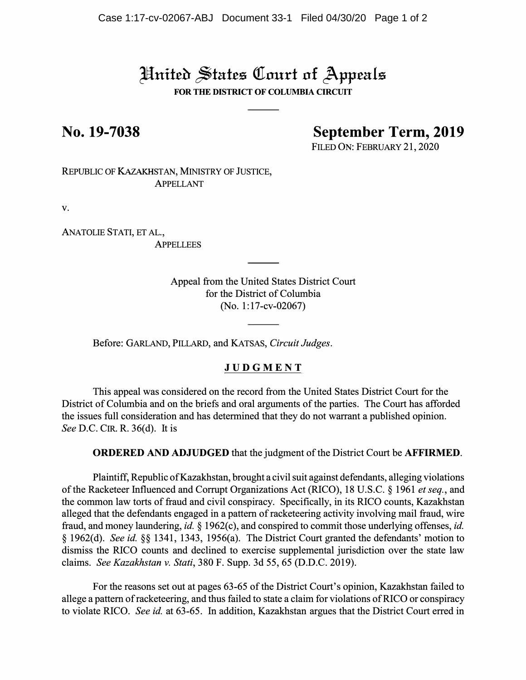# United States Court of Appeals

**FOR THE DISTRICT OF COLUMBIA CIRCUIT** 

**No. 19-7038 September Term, 2019** 

FILED ON: FEBRUARY 21, 2020

REPUBLIC OF KAzAKHSTAN, MINISTRY OF JUSTICE, APPELLANT

V.

ANATOLIE STATI, ET **AL., APPELLEES** 

> Appeal from the United States District Court for the District of Columbia (No. 1: 17-cv-02067)

Before: GARLAND, PILLARD, and KATSAS, *Circuit Judges.* 

# **JUDGME NT**

This appeal was considered on the record from the United States District Court for the District of Columbia and on the briefs and oral arguments of the parties. The Court has afforded the issues full consideration and has determined that they do not warrant a published opinion. *See D.C. CIR. R. 36(d). It is* 

**ORDERED AND ADJUDGED** that the judgment of the District Court be **AFFIRMED.**

Plaintiff, Republic ofKazakhstan, brought a civil suit against defendants, alleging violations of the Racketeer Influenced and Corrupt Organizations Act (RICO), 18 U.S.C. § 1961 *et seq.,* and the common law torts of fraud and civil conspiracy. Specifically, in its RICO counts, Kazakhstan alleged that the defendants engaged in a pattern of racketeering activity involving mail fraud, wire fraud, and money laundering, *id.* § 1962(c), and conspired to commit those underlying offenses, *id.* § 1962(d). *See id.* §§ 1341, 1343, 1956(a). The District Court granted the defendants' motion to dismiss the RICO counts and declined to exercise supplemental jurisdiction over the state law claims. *See Kazakhstan v. Stati,* 380 F. Supp. 3d 55, 65 (D.D.C. 2019).

For the reasons set out at pages 63-65 of the District Court's opinion, Kazakhstan failed to allege a pattern of racketeering, and thus failed to state a claim for violations of RICO or conspiracy to violate RICO. *See id.* at 63-65. In addition, Kazakhstan argues that the District Court erred in